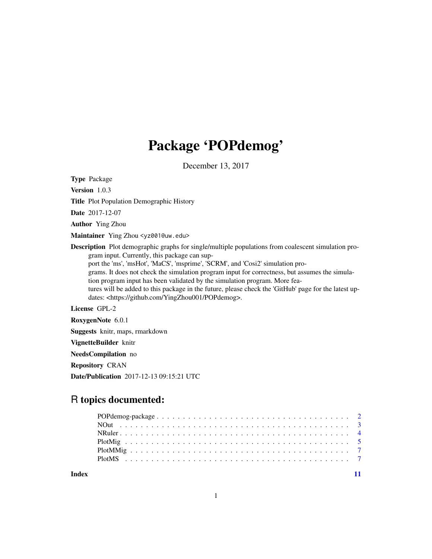# Package 'POPdemog'

December 13, 2017

Type Package

Version 1.0.3

Title Plot Population Demographic History

Date 2017-12-07

Author Ying Zhou

Maintainer Ying Zhou <yz001@uw.edu>

Description Plot demographic graphs for single/multiple populations from coalescent simulation program input. Currently, this package can support the 'ms', 'msHot', 'MaCS', 'msprime', 'SCRM', and 'Cosi2' simulation programs. It does not check the simulation program input for correctness, but assumes the simulation program input has been validated by the simulation program. More features will be added to this package in the future, please check the 'GitHub' page for the latest updates: <https://github.com/YingZhou001/POPdemog>.

License GPL-2

RoxygenNote 6.0.1

Suggests knitr, maps, rmarkdown

VignetteBuilder knitr

NeedsCompilation no

Repository CRAN

Date/Publication 2017-12-13 09:15:21 UTC

# R topics documented:

**Index** [11](#page-10-0)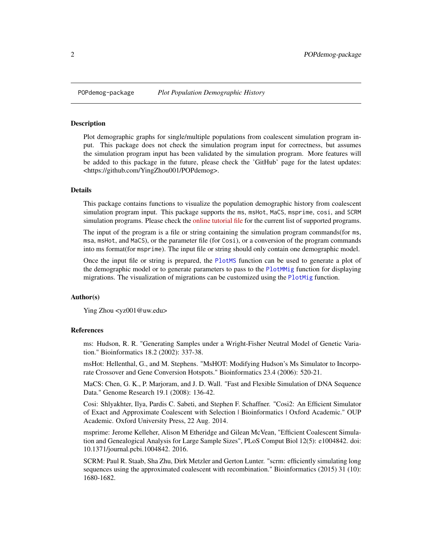<span id="page-1-0"></span>

Plot demographic graphs for single/multiple populations from coalescent simulation program input. This package does not check the simulation program input for correctness, but assumes the simulation program input has been validated by the simulation program. More features will be added to this package in the future, please check the 'GitHub' page for the latest updates: <https://github.com/YingZhou001/POPdemog>.

#### Details

This package contains functions to visualize the population demographic history from coalescent simulation program input. This package supports the ms, msHot, MaCS, msprime, cosi, and SCRM simulation programs. Please check the [online tutorial file](https://github.com/YingZhou001/POPdemog/blob/master/doc/POPdemog-tutorial.md) for the current list of supported programs.

The input of the program is a file or string containing the simulation program commands(for ms, msa, msHot, and MaCS), or the parameter file (for Cosi), or a conversion of the program commands into ms format(for msprime). The input file or string should only contain one demographic model.

Once the input file or string is prepared, the [PlotMS](#page-6-1) function can be used to generate a plot of the demographic model or to generate parameters to pass to the [PlotMMig](#page-6-2) function for displaying migrations. The visualization of migrations can be customized using the [PlotMig](#page-4-1) function.

#### Author(s)

Ying Zhou <yz001@uw.edu>

#### References

ms: Hudson, R. R. "Generating Samples under a Wright-Fisher Neutral Model of Genetic Variation." Bioinformatics 18.2 (2002): 337-38.

msHot: Hellenthal, G., and M. Stephens. "MsHOT: Modifying Hudson's Ms Simulator to Incorporate Crossover and Gene Conversion Hotspots." Bioinformatics 23.4 (2006): 520-21.

MaCS: Chen, G. K., P. Marjoram, and J. D. Wall. "Fast and Flexible Simulation of DNA Sequence Data." Genome Research 19.1 (2008): 136-42.

Cosi: Shlyakhter, Ilya, Pardis C. Sabeti, and Stephen F. Schaffner. "Cosi2: An Efficient Simulator of Exact and Approximate Coalescent with Selection | Bioinformatics | Oxford Academic." OUP Academic. Oxford University Press, 22 Aug. 2014.

msprime: Jerome Kelleher, Alison M Etheridge and Gilean McVean, "Efficient Coalescent Simulation and Genealogical Analysis for Large Sample Sizes", PLoS Comput Biol 12(5): e1004842. doi: 10.1371/journal.pcbi.1004842. 2016.

SCRM: Paul R. Staab, Sha Zhu, Dirk Metzler and Gerton Lunter. "scrm: efficiently simulating long sequences using the approximated coalescent with recombination." Bioinformatics (2015) 31 (10): 1680-1682.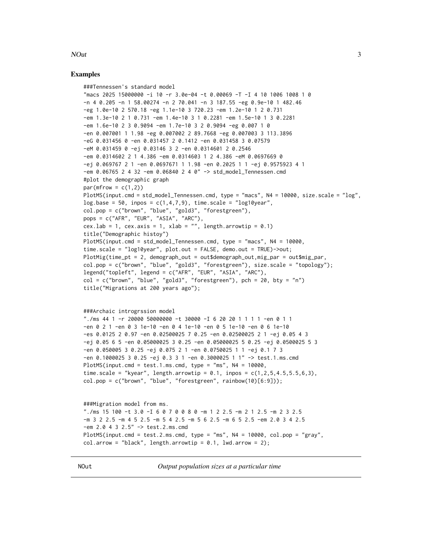# <span id="page-2-0"></span>**NOut**

#### **Examples**

```
###Tennessen's standard model
"macs 2025 15000000 -i 10 -r 3.0e-04 -t 0.00069 -T -I 4 10 1006 1008 1 0
-n 4 0.205 -n 1 58.00274 -n 2 70.041 -n 3 187.55 -eg 0.9e-10 1 482.46
-eg 1.0e-10 2 570.18 -eg 1.1e-10 3 720.23 -em 1.2e-10 1 2 0.731
-em 1.3e-10 2 1 0.731 -em 1.4e-10 3 1 0.2281 -em 1.5e-10 1 3 0.2281
-em 1.6e-10 2 3 0.9094 -em 1.7e-10 3 2 0.9094 -eg 0.007 1 0
-en 0.007001 1 1.98 -eg 0.007002 2 89.7668 -eg 0.007003 3 113.3896
-eG 0.031456 0 -en 0.031457 2 0.1412 -en 0.031458 3 0.07579
-eM 0.031459 0 -ej 0.03146 3 2 -en 0.0314601 2 0.2546
-em 0.0314602 2 1 4.386 -em 0.0314603 1 2 4.386 -eM 0.0697669 0
-ej 0.069767 2 1 -en 0.0697671 1 1.98 -en 0.2025 1 1 -ej 0.9575923 4 1
-em 0.06765 2 4 32 -em 0.06840 2 4 0" -> std_model_Tennessen.cmd
#plot the demographic graph
par(mfrow = c(1,2))PlotMS(input.cmd = std_model_Tennessen.cmd, type = "macs", N4 = 10000, size.scale = "log",
log base = 50, inpos = c(1, 4, 7, 9), time-scale = "log10year",col.pop = c("brown", "blue", "gold3", "forestgreen"),
pops = c("AFR", "EUR", "ASIA", "ARC"),
cex.lab = 1, cex.axis = 1, xlab = "", length.arrowtip = 0.1)
title("Demographic histoy")
PlotMS(input.cmd = std_model_Tennessen.cmd, type = "macs", N4 = 10000,
time.scale = "log10year", plot.out = FALSE, demo.out = TRUE)->out;
PlotMig(time_pt = 2, demograph_out = out$demograph_out,mig_par = out$mig_par,
col.pop = c("brown", "blue", "gold3", "forestgreen"), size.scale = "topology");
legend("topleft", legend = c("AFR", "EUR", "ASIA", "ARC"),
col = c("brown", "blue", "gold3", "forestgreen"), pch = 20, bty = "n")title("Migrations at 200 years ago");
###Archaic introgrssion model
"./ms 44 1 -r 20000 50000000 -t 30000 -I 6 20 20 1 1 1 1 -en 0 1 1
-en 0 2 1 -en 0 3 1e-10 -en 0 4 1e-10 -en 0 5 1e-10 -en 0 6 1e-10
-es 0.0125 2 0.97 -en 0.02500025 7 0.25 -en 0.02500025 2 1 -ej 0.05 4 3
-ej 0.05 6 5 -en 0.05000025 3 0.25 -en 0.05000025 5 0.25 -ej 0.0500025 5 3
-en 0.050005 3 0.25 -ej 0.075 2 1 -en 0.0750025 1 1 -ej 0.1 7 3
-en 0.1000025 3 0.25 -ej 0.3 3 1 -en 0.3000025 1 1" -> test.1.ms.cmd
PlotMS(input.cmd = test.1.ms.cmd, type = "ms", N4 = 10000,
time.scale = "kyear", length.arrowtip = 0.1, inpos = c(1, 2, 5, 4.5, 5.5, 6, 3),
col.pop = c("brown", "blue", "forestgreen", rainbow(10)[6:9]));
```

```
###Migration model from ms.
"./ms 15 100 -t 3.0 -I 6 0 7 0 0 8 0 -m 1 2 2.5 -m 2 1 2.5 -m 2 3 2.5
-m 3 2 2.5 -m 4 5 2.5 -m 5 4 2.5 -m 5 6 2.5 -m 6 5 2.5 -em 2.0 3 4 2.5
-em 2.0 4 3 2.5" \rightarrow test.2.ms.cmd
PlotMS(input.cmd = test.2.ms.cmd, type = "ms", N4 = 10000, col.pop = "gray",
col.array = "black", length.array = 0.1, 1wd.array = 2);
```
Output population sizes at a particular time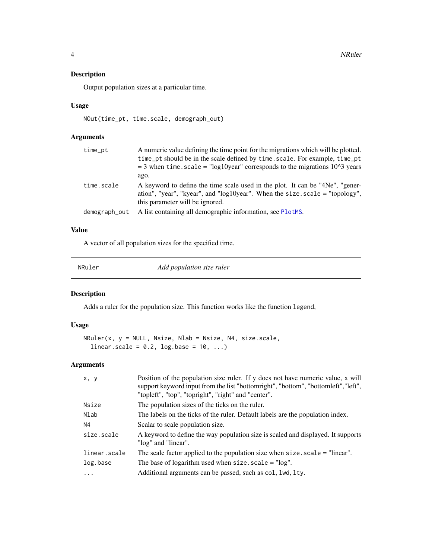<span id="page-3-0"></span>Output population sizes at a particular time.

### Usage

NOut(time\_pt, time.scale, demograph\_out)

## Arguments

| time_pt       | A numeric value defining the time point for the migrations which will be plotted.<br>time_pt should be in the scale defined by time.scale. For example, time_pt<br>$=$ 3 when time. scale $=$ "log10year" corresponds to the migrations 10^3 years |
|---------------|----------------------------------------------------------------------------------------------------------------------------------------------------------------------------------------------------------------------------------------------------|
|               | ago.                                                                                                                                                                                                                                               |
| time.scale    | A keyword to define the time scale used in the plot. It can be "4Ne", "gener-<br>ation", "year", "kyear", and "log10year". When the size $-scale = "topology",$<br>this parameter will be ignored.                                                 |
| demograph_out | A list containing all demographic information, see PlotMS.                                                                                                                                                                                         |

# Value

A vector of all population sizes for the specified time.

NRuler *Add population size ruler*

# Description

Adds a ruler for the population size. This function works like the function legend,

# Usage

```
NRuler(x, y = NULL, Nsize, Nlab = Nsize, N4, size.scale,
 linear.scale = 0.2, log.base = 10, ...)
```
# Arguments

| x, y         | Position of the population size ruler. If y does not have numeric value, x will<br>support keyword input from the list "bottomright", "bottom", "bottomleft", "left",<br>"topleft", "top", "topright", "right" and "center". |
|--------------|------------------------------------------------------------------------------------------------------------------------------------------------------------------------------------------------------------------------------|
| Nsize        | The population sizes of the ticks on the ruler.                                                                                                                                                                              |
| Nlab         | The labels on the ticks of the ruler. Default labels are the population index.                                                                                                                                               |
| N4           | Scalar to scale population size.                                                                                                                                                                                             |
| size.scale   | A keyword to define the way population size is scaled and displayed. It supports<br>"log" and "linear".                                                                                                                      |
| linear.scale | The scale factor applied to the population size when $size$ . $scale = "linear".$                                                                                                                                            |
| log.base     | The base of logarithm used when $size$ . $scale = "log".$                                                                                                                                                                    |
|              | Additional arguments can be passed, such as col, lwd, lty.                                                                                                                                                                   |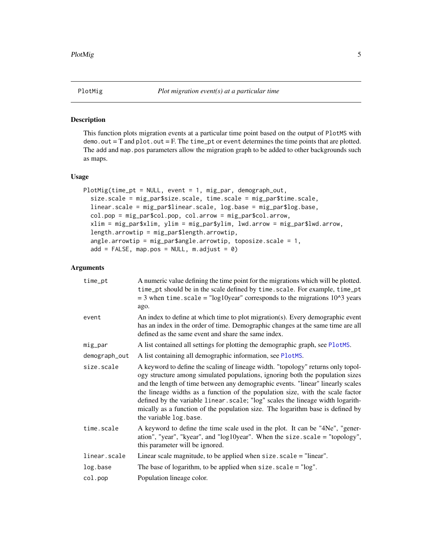<span id="page-4-1"></span><span id="page-4-0"></span>

This function plots migration events at a particular time point based on the output of PlotMS with  $demo.out = T$  and  $plot.out = F$ . The time\_pt or event determines the time points that are plotted. The add and map.pos parameters allow the migration graph to be added to other backgrounds such as maps.

#### Usage

```
PlotMig(time_pt = NULL, event = 1, mig_par, demograph_out,
  size.scale = mig_par$size.scale, time.scale = mig_par$time.scale,
  linear.scale = mig_par$linear.scale, log.base = mig_par$log.base,
  col.pop = mig_par$col.pop, col.arrow = mig_par$col.arrow,
  xlim = mig_par$xlim, ylim = mig_par$ylim, lwd.arrow = mig_par$lwd.arrow,
  length.arrowtip = mig_par$length.arrowtip,
  angle.arrowtip = mig_par$angle.arrowtip, toposize.scale = 1,
  add = FALSE, map.pos = NULL, m.addjust = 0)
```
# Arguments

| time_pt       | A numeric value defining the time point for the migrations which will be plotted.<br>time_pt should be in the scale defined by time.scale. For example, time_pt<br>$=$ 3 when time.scale $=$ "log10year" corresponds to the migrations 10^3 years<br>ago.                                                                                                                                                                                                                                                                             |
|---------------|---------------------------------------------------------------------------------------------------------------------------------------------------------------------------------------------------------------------------------------------------------------------------------------------------------------------------------------------------------------------------------------------------------------------------------------------------------------------------------------------------------------------------------------|
| event         | An index to define at which time to plot migration(s). Every demographic event<br>has an index in the order of time. Demographic changes at the same time are all<br>defined as the same event and share the same index.                                                                                                                                                                                                                                                                                                              |
| mig_par       | A list contained all settings for plotting the demographic graph, see PlotMS.                                                                                                                                                                                                                                                                                                                                                                                                                                                         |
| demograph_out | A list containing all demographic information, see PlotMS.                                                                                                                                                                                                                                                                                                                                                                                                                                                                            |
| size.scale    | A keyword to define the scaling of lineage width. "topology" returns only topol-<br>ogy structure among simulated populations, ignoring both the population sizes<br>and the length of time between any demographic events. "linear" linearly scales<br>the lineage widths as a function of the population size, with the scale factor<br>defined by the variable linear. scale; "log" scales the lineage width logarith-<br>mically as a function of the population size. The logarithm base is defined by<br>the variable log.base. |
| time.scale    | A keyword to define the time scale used in the plot. It can be "4Ne", "gener-<br>ation", "year", "kyear", and "log10year". When the size $scale = "topology",$<br>this parameter will be ignored.                                                                                                                                                                                                                                                                                                                                     |
| linear.scale  | Linear scale magnitude, to be applied when $size$ . $scale = "linear".$                                                                                                                                                                                                                                                                                                                                                                                                                                                               |
| log.base      | The base of logarithm, to be applied when size. $scale = "log".$                                                                                                                                                                                                                                                                                                                                                                                                                                                                      |
| col.pop       | Population lineage color.                                                                                                                                                                                                                                                                                                                                                                                                                                                                                                             |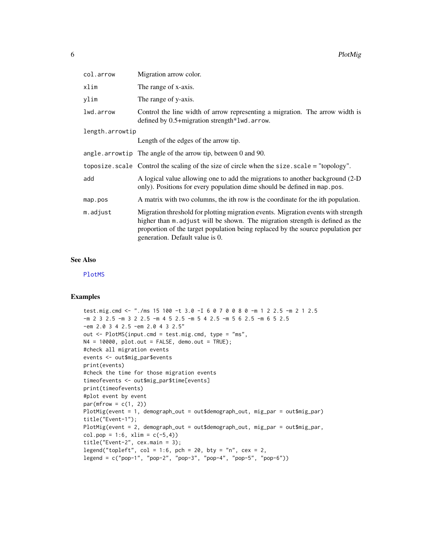| col.arrow       | Migration arrow color.                                                                                                                                                                                                                                                                   |
|-----------------|------------------------------------------------------------------------------------------------------------------------------------------------------------------------------------------------------------------------------------------------------------------------------------------|
| xlim            | The range of x-axis.                                                                                                                                                                                                                                                                     |
| ylim            | The range of y-axis.                                                                                                                                                                                                                                                                     |
| lwd.arrow       | Control the line width of arrow representing a migration. The arrow width is<br>defined by 0.5+migration strength*lwd.arrow.                                                                                                                                                             |
| length.arrowtip |                                                                                                                                                                                                                                                                                          |
|                 | Length of the edges of the arrow tip.                                                                                                                                                                                                                                                    |
|                 | angle. $arrow$ The angle of the arrow tip, between 0 and 90.                                                                                                                                                                                                                             |
|                 | toposize. scale Control the scaling of the size of circle when the size. scale = "topology".                                                                                                                                                                                             |
| add             | A logical value allowing one to add the migrations to another background (2-D)<br>only). Positions for every population dime should be defined in map. pos.                                                                                                                              |
| map.pos         | A matrix with two columns, the ith row is the coordinate for the ith population.                                                                                                                                                                                                         |
| m.adjust        | Migration threshold for plotting migration events. Migration events with strength<br>higher than m. adjust will be shown. The migration strength is defined as the<br>proportion of the target population being replaced by the source population per<br>generation. Default value is 0. |

# See Also

[PlotMS](#page-6-1)

#### Examples

```
test.mig.cmd <- "./ms 15 100 -t 3.0 -I 6 0 7 0 0 8 0 -m 1 2 2.5 -m 2 1 2.5
-m 2 3 2.5 -m 3 2 2.5 -m 4 5 2.5 -m 5 4 2.5 -m 5 6 2.5 -m 6 5 2.5
-em 2.0 3 4 2.5 -em 2.0 4 3 2.5"
out <- PlotMS(input.cmd = test.mig.cmd, type = "ms",
N4 = 10000, plot.out = FALSE, demo.out = TRUE;
#check all migration events
events <- out$mig_par$events
print(events)
#check the time for those migration events
timeofevents <- out$mig_par$time[events]
print(timeofevents)
#plot event by event
par(mfrow = c(1, 2))PlotMig(event = 1, demograph_out = out$demograph_out, mig_par = out$mig_par)
title("Event-1");
PlotMig(event = 2, demograph_out = out$demograph_out, mig_par = out$mig_par,
col.pop = 1:6, xlim = c(-5, 4))title("Event-2", cex.main = 3);
legend("topleft", col = 1:6, pch = 20, bty = "n", cex = 2,
legend = c("pop-1", "pop-2", "pop-3", "pop-4", "pop-5", "pop-6"))
```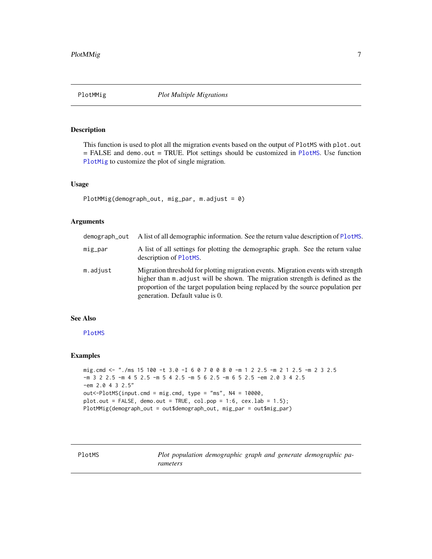<span id="page-6-2"></span><span id="page-6-0"></span>PlotMMig

# **Description**

This function is used to plot all the migration events based on the output of PlotMS with plot.out  $=$  FALSE and demo. out  $=$  TRUE. Plot settings should be customized in PlotMS. Use function PlotMig to customize the plot of single migration.

#### **Usage**

PlotMMig(demograph\_out, mig\_par, m.adjust =  $0$ )

# **Arguments**

| demograph_out | A list of all demographic information. See the return value description of PlotMS.                                                                                                                                                                                                      |
|---------------|-----------------------------------------------------------------------------------------------------------------------------------------------------------------------------------------------------------------------------------------------------------------------------------------|
| mig_par       | A list of all settings for plotting the demographic graph. See the return value<br>description of PlotMS.                                                                                                                                                                               |
| m.adjust      | Migration threshold for plotting migration events. Migration events with strength<br>higher than m adjust will be shown. The migration strength is defined as the<br>proportion of the target population being replaced by the source population per<br>generation. Default value is 0. |

# **See Also**

PlotMS

#### **Examples**

```
mig.cmd <- "./ms 15 100 -t 3.0 -I 6 0 7 0 0 8 0 -m 1 2 2.5 -m 2 1 2.5 -m 2 3 2.5
-m 3 2 2.5 -m 4 5 2.5 -m 5 4 2.5 -m 5 6 2.5 -m 6 5 2.5 -em 2.0 3 4 2.5
-em 2.0 4 3 2.5"
out<-PlotMS(input.cmd = mig.cmd, type = "ms", N4 = 10000,
plot.out = FALSE, demo.out = TRUE, col.pop = 1:6, cex.lab = 1.5;
PlotMMig(demograph_out = out$demograph_out, mig_par = out$mig_par)
```
<span id="page-6-1"></span>PlotMS

Plot population demographic graph and generate demographic parameters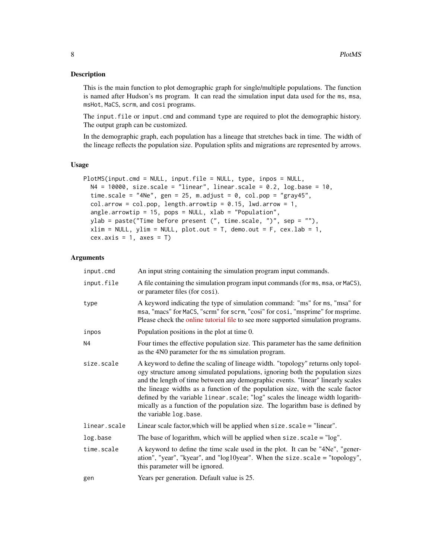This is the main function to plot demographic graph for single/multiple populations. The function is named after Hudson's ms program. It can read the simulation input data used for the ms, msa, msHot, MaCS, scrm, and cosi programs.

The input.file or imput.cmd and command type are required to plot the demographic history. The output graph can be customized.

In the demographic graph, each population has a lineage that stretches back in time. The width of the lineage reflects the population size. Population splits and migrations are represented by arrows.

#### Usage

```
PlotMS(input.cmd = NULL, input.file = NULL, type, inpos = NULL,
 N4 = 10000, size.scale = "linear", linear.scale = 0.2, log.base = 10,
  time.scale = "4Ne", gen = 25, m.adjust = 0, col.pop = "gray45",
  col.array = col.pop, length.arrowtip = 0.15, lwd.arrow = 1,
  angle.arrowtip = 15, pops = NULL, xlab = "Population",
  ylab = paste("Time before present (", time.scale, ")", sep = ""),
  xlim = NULL, ylim = NULL, plot.out = T, demo.out = F, cex.lab = 1,
  cex.axis = 1, axes = T)
```
#### Arguments

| input.cmd    | An input string containing the simulation program input commands.                                                                                                                                                                                                                                                                                                                                                                                                                                                                    |
|--------------|--------------------------------------------------------------------------------------------------------------------------------------------------------------------------------------------------------------------------------------------------------------------------------------------------------------------------------------------------------------------------------------------------------------------------------------------------------------------------------------------------------------------------------------|
| input.file   | A file containing the simulation program input commands (for ms, msa, or MaCS),<br>or parameter files (for cosi).                                                                                                                                                                                                                                                                                                                                                                                                                    |
| type         | A keyword indicating the type of simulation command: "ms" for ms, "msa" for<br>msa, "macs" for MaCS, "scrm" for scrm, "cosi" for cosi, "msprime" for msprime.<br>Please check the online tutorial file to see more supported simulation programs.                                                                                                                                                                                                                                                                                    |
| inpos        | Population positions in the plot at time 0.                                                                                                                                                                                                                                                                                                                                                                                                                                                                                          |
| N4           | Four times the effective population size. This parameter has the same definition<br>as the 4N0 parameter for the ms simulation program.                                                                                                                                                                                                                                                                                                                                                                                              |
| size.scale   | A keyword to define the scaling of lineage width. "topology" returns only topol-<br>ogy structure among simulated populations, ignoring both the population sizes<br>and the length of time between any demographic events. "linear" linearly scales<br>the lineage widths as a function of the population size, with the scale factor<br>defined by the variable linear.scale; "log" scales the lineage width logarith-<br>mically as a function of the population size. The logarithm base is defined by<br>the variable log.base. |
| linear.scale | Linear scale factor, which will be applied when $size$ . $scale = "linear".$                                                                                                                                                                                                                                                                                                                                                                                                                                                         |
| log.base     | The base of logarithm, which will be applied when $size$ . $scale = "log"$ .                                                                                                                                                                                                                                                                                                                                                                                                                                                         |
| time.scale   | A keyword to define the time scale used in the plot. It can be "4Ne", "gener-<br>ation", "year", "kyear", and "log10year". When the size.scale = "topology",<br>this parameter will be ignored.                                                                                                                                                                                                                                                                                                                                      |
| gen          | Years per generation. Default value is 25.                                                                                                                                                                                                                                                                                                                                                                                                                                                                                           |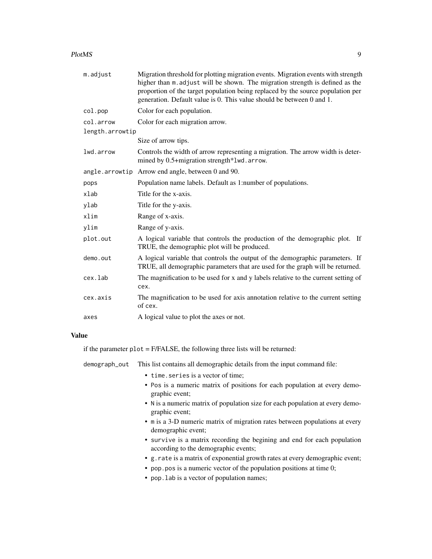#### PlotMS 9

| m.adjust        | Migration threshold for plotting migration events. Migration events with strength<br>higher than m. adjust will be shown. The migration strength is defined as the<br>proportion of the target population being replaced by the source population per<br>generation. Default value is 0. This value should be between 0 and 1. |
|-----------------|--------------------------------------------------------------------------------------------------------------------------------------------------------------------------------------------------------------------------------------------------------------------------------------------------------------------------------|
| col.pop         | Color for each population.                                                                                                                                                                                                                                                                                                     |
| col.arrow       | Color for each migration arrow.                                                                                                                                                                                                                                                                                                |
| length.arrowtip |                                                                                                                                                                                                                                                                                                                                |
|                 | Size of arrow tips.                                                                                                                                                                                                                                                                                                            |
| lwd.arrow       | Controls the width of arrow representing a migration. The arrow width is deter-<br>mined by 0.5+migration strength*lwd.arrow.                                                                                                                                                                                                  |
|                 | angle.arrowtip Arrow end angle, between 0 and 90.                                                                                                                                                                                                                                                                              |
| pops            | Population name labels. Default as 1:number of populations.                                                                                                                                                                                                                                                                    |
| xlab            | Title for the x-axis.                                                                                                                                                                                                                                                                                                          |
| ylab            | Title for the y-axis.                                                                                                                                                                                                                                                                                                          |
| xlim            | Range of x-axis.                                                                                                                                                                                                                                                                                                               |
| ylim            | Range of y-axis.                                                                                                                                                                                                                                                                                                               |
| plot.out        | A logical variable that controls the production of the demographic plot. If<br>TRUE, the demographic plot will be produced.                                                                                                                                                                                                    |
| demo.out        | A logical variable that controls the output of the demographic parameters. If<br>TRUE, all demographic parameters that are used for the graph will be returned.                                                                                                                                                                |
| cex.lab         | The magnification to be used for x and y labels relative to the current setting of<br>cex.                                                                                                                                                                                                                                     |
| cex.axis        | The magnification to be used for axis annotation relative to the current setting<br>of cex.                                                                                                                                                                                                                                    |
| axes            | A logical value to plot the axes or not.                                                                                                                                                                                                                                                                                       |

#### Value

if the parameter plot = F/FALSE, the following three lists will be returned:

demograph\_out This list contains all demographic details from the input command file:

- time.series is a vector of time;
- Pos is a numeric matrix of positions for each population at every demographic event;
- N is a numeric matrix of population size for each population at every demographic event;
- m is a 3-D numeric matrix of migration rates between populations at every demographic event;
- survive is a matrix recording the begining and end for each population according to the demographic events;
- g.rate is a matrix of exponential growth rates at every demographic event;
- pop.pos is a numeric vector of the population positions at time 0;
- pop.lab is a vector of population names;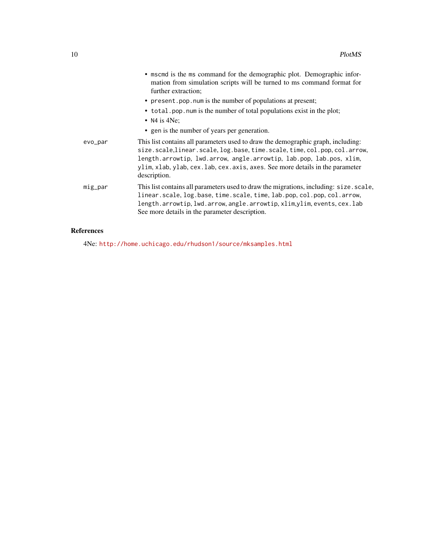|         | • mscmd is the ms command for the demographic plot. Demographic infor-<br>mation from simulation scripts will be turned to ms command format for<br>further extraction;                                                                                                                                                                |
|---------|----------------------------------------------------------------------------------------------------------------------------------------------------------------------------------------------------------------------------------------------------------------------------------------------------------------------------------------|
|         | • present pop. num is the number of populations at present;                                                                                                                                                                                                                                                                            |
|         | • total pop. num is the number of total populations exist in the plot;<br>• N4 is $4Ne$ ;                                                                                                                                                                                                                                              |
|         | • gen is the number of years per generation.                                                                                                                                                                                                                                                                                           |
| evo_par | This list contains all parameters used to draw the demographic graph, including:<br>size.scale, linear.scale, log.base, time.scale, time, col.pop, col.arrow,<br>length.arrowtip, lwd.arrow, angle.arrowtip, lab.pop, lab.pos, xlim,<br>ylim, xlab, ylab, cex. lab, cex. axis, axes. See more details in the parameter<br>description. |
| mig_par | This list contains all parameters used to draw the migrations, including: size.scale,<br>linear.scale, log.base, time.scale, time, lab.pop, col.pop, col.arrow,<br>length.arrowtip, lwd.arrow, angle.arrowtip, xlim, ylim, events, cex. lab<br>See more details in the parameter description.                                          |
|         |                                                                                                                                                                                                                                                                                                                                        |

# References

4Ne: <http://home.uchicago.edu/rhudson1/source/mksamples.html>